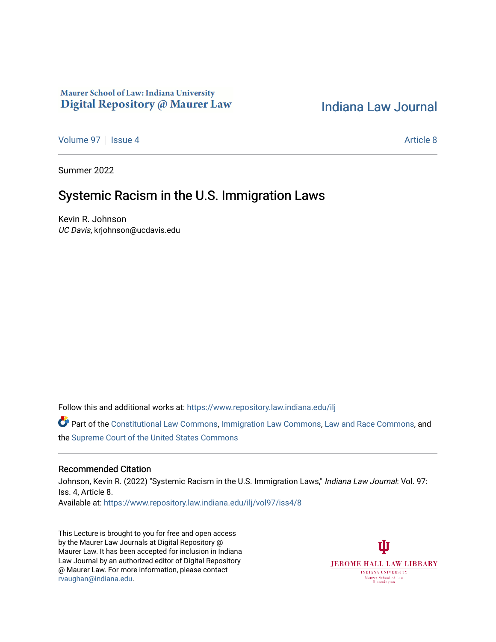## Maurer School of Law: Indiana University Digital Repository @ Maurer Law

# [Indiana Law Journal](https://www.repository.law.indiana.edu/ilj)

[Volume 97](https://www.repository.law.indiana.edu/ilj/vol97) | [Issue 4](https://www.repository.law.indiana.edu/ilj/vol97/iss4) Article 8

Summer 2022

## Systemic Racism in the U.S. Immigration Laws

Kevin R. Johnson UC Davis, krjohnson@ucdavis.edu

Follow this and additional works at: [https://www.repository.law.indiana.edu/ilj](https://www.repository.law.indiana.edu/ilj?utm_source=www.repository.law.indiana.edu%2Filj%2Fvol97%2Fiss4%2F8&utm_medium=PDF&utm_campaign=PDFCoverPages) 

Part of the [Constitutional Law Commons,](https://network.bepress.com/hgg/discipline/589?utm_source=www.repository.law.indiana.edu%2Filj%2Fvol97%2Fiss4%2F8&utm_medium=PDF&utm_campaign=PDFCoverPages) [Immigration Law Commons](https://network.bepress.com/hgg/discipline/604?utm_source=www.repository.law.indiana.edu%2Filj%2Fvol97%2Fiss4%2F8&utm_medium=PDF&utm_campaign=PDFCoverPages), [Law and Race Commons](https://network.bepress.com/hgg/discipline/1300?utm_source=www.repository.law.indiana.edu%2Filj%2Fvol97%2Fiss4%2F8&utm_medium=PDF&utm_campaign=PDFCoverPages), and the [Supreme Court of the United States Commons](https://network.bepress.com/hgg/discipline/1350?utm_source=www.repository.law.indiana.edu%2Filj%2Fvol97%2Fiss4%2F8&utm_medium=PDF&utm_campaign=PDFCoverPages)

### Recommended Citation

Johnson, Kevin R. (2022) "Systemic Racism in the U.S. Immigration Laws," Indiana Law Journal: Vol. 97: Iss. 4, Article 8. Available at: [https://www.repository.law.indiana.edu/ilj/vol97/iss4/8](https://www.repository.law.indiana.edu/ilj/vol97/iss4/8?utm_source=www.repository.law.indiana.edu%2Filj%2Fvol97%2Fiss4%2F8&utm_medium=PDF&utm_campaign=PDFCoverPages) 

This Lecture is brought to you for free and open access by the Maurer Law Journals at Digital Repository @ Maurer Law. It has been accepted for inclusion in Indiana Law Journal by an authorized editor of Digital Repository @ Maurer Law. For more information, please contact [rvaughan@indiana.edu.](mailto:rvaughan@indiana.edu)

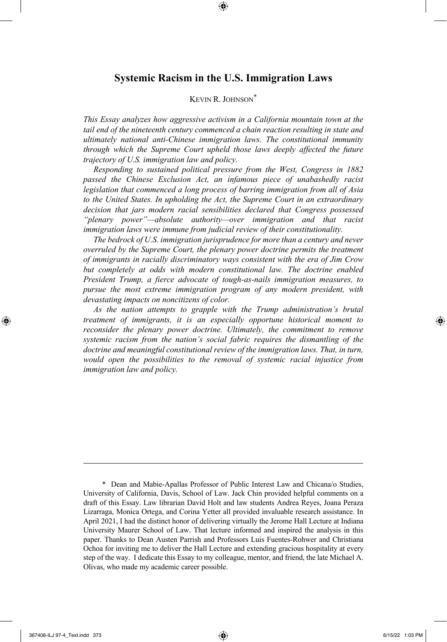## **Systemic Racism in the U.S. Immigration Laws**

### KEVIN R. JOHNSON\*

*This Essay analyzes how aggressive activism in a California mountain town at the tail end of the nineteenth century commenced a chain reaction resulting in state and ultimately national anti-Chinese immigration laws. The constitutional immunity through which the Supreme Court upheld those laws deeply affected the future trajectory of U.S. immigration law and policy.*

*Responding to sustained political pressure from the West, Congress in 1882 passed the Chinese Exclusion Act, an infamous piece of unabashedly racist legislation that commenced a long process of barring immigration from all of Asia to the United States. In upholding the Act, the Supreme Court in an extraordinary decision that jars modern racial sensibilities declared that Congress possessed "plenary power"—absolute authority—over immigration and that racist immigration laws were immune from judicial review of their constitutionality.*

*The bedrock of U.S. immigration jurisprudence for more than a century and never overruled by the Supreme Court, the plenary power doctrine permits the treatment of immigrants in racially discriminatory ways consistent with the era of Jim Crow but completely at odds with modern constitutional law. The doctrine enabled President Trump, a fierce advocate of tough-as-nails immigration measures, to pursue the most extreme immigration program of any modern president, with devastating impacts on noncitizens of color.*

*As the nation attempts to grapple with the Trump administration's brutal treatment of immigrants, it is an especially opportune historical moment to reconsider the plenary power doctrine. Ultimately, the commitment to remove systemic racism from the nation's social fabric requires the dismantling of the doctrine and meaningful constitutional review of the immigration laws. That, in turn, would open the possibilities to the removal of systemic racial injustice from immigration law and policy.*

<sup>\*</sup> Dean and Mabie-Apallas Professor of Public Interest Law and Chicana/o Studies, University of California, Davis, School of Law. Jack Chin provided helpful comments on a draft of this Essay. Law librarian David Holt and law students Andrea Reyes, Joana Peraza Lizarraga, Monica Ortega, and Corina Yetter all provided invaluable research assistance. In April 2021, I had the distinct honor of delivering virtually the Jerome Hall Lecture at Indiana University Maurer School of Law. That lecture informed and inspired the analysis in this paper. Thanks to Dean Austen Parrish and Professors Luis Fuentes-Rohwer and Christiana Ochoa for inviting me to deliver the Hall Lecture and extending gracious hospitality at every step of the way. I dedicate this Essay to my colleague, mentor, and friend, the late Michael A. Olivas, who made my academic career possible.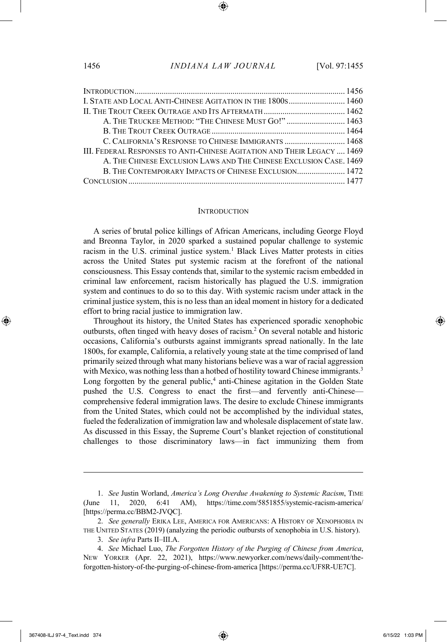| I. STATE AND LOCAL ANTI-CHINESE AGITATION IN THE 1800S 1460             |  |
|-------------------------------------------------------------------------|--|
|                                                                         |  |
| A. THE TRUCKEE METHOD: "THE CHINESE MUST GO!" 1463                      |  |
|                                                                         |  |
| C. CALIFORNIA'S RESPONSE TO CHINESE IMMIGRANTS  1468                    |  |
| III. FEDERAL RESPONSES TO ANTI-CHINESE AGITATION AND THEIR LEGACY  1469 |  |
| A. THE CHINESE EXCLUSION LAWS AND THE CHINESE EXCLUSION CASE. 1469      |  |
| B. THE CONTEMPORARY IMPACTS OF CHINESE EXCLUSION 1472                   |  |
|                                                                         |  |
|                                                                         |  |

#### **INTRODUCTION**

A series of brutal police killings of African Americans, including George Floyd and Breonna Taylor, in 2020 sparked a sustained popular challenge to systemic racism in the U.S. criminal justice system.<sup>1</sup> Black Lives Matter protests in cities across the United States put systemic racism at the forefront of the national consciousness. This Essay contends that, similar to the systemic racism embedded in criminal law enforcement, racism historically has plagued the U.S. immigration system and continues to do so to this day. With systemic racism under attack in the criminal justice system, this is no less than an ideal moment in history for a dedicated effort to bring racial justice to immigration law.

Throughout its history, the United States has experienced sporadic xenophobic outbursts, often tinged with heavy doses of racism. <sup>2</sup> On several notable and historic occasions, California's outbursts against immigrants spread nationally. In the late 1800s, for example, California, a relatively young state at the time comprised of land primarily seized through what many historians believe was a war of racial aggression with Mexico, was nothing less than a hotbed of hostility toward Chinese immigrants.<sup>3</sup> Long forgotten by the general public,<sup>4</sup> anti-Chinese agitation in the Golden State pushed the U.S. Congress to enact the first—and fervently anti-Chinese comprehensive federal immigration laws. The desire to exclude Chinese immigrants from the United States, which could not be accomplished by the individual states, fueled the federalization of immigration law and wholesale displacement of state law. As discussed in this Essay, the Supreme Court's blanket rejection of constitutional challenges to those discriminatory laws—in fact immunizing them from

<sup>1.</sup> *See* Justin Worland, *America's Long Overdue Awakening to Systemic Racism*, TIME (June 11, 2020, 6:41 AM), https://time.com/5851855/systemic-racism-america/ [https://perma.cc/BBM2-JVQC].

<sup>2.</sup> *See generally* ERIKA LEE, AMERICA FOR AMERICANS: A HISTORY OF XENOPHOBIA IN THE UNITED STATES (2019) (analyzing the periodic outbursts of xenophobia in U.S. history).

<sup>3.</sup> *See infra* Parts II–III.A.

<sup>4.</sup> *See* Michael Luo, *The Forgotten History of the Purging of Chinese from America*, NEW YORKER (Apr. 22, 2021), https://www.newyorker.com/news/daily-comment/theforgotten-history-of-the-purging-of-chinese-from-america [https://perma.cc/UF8R-UE7C].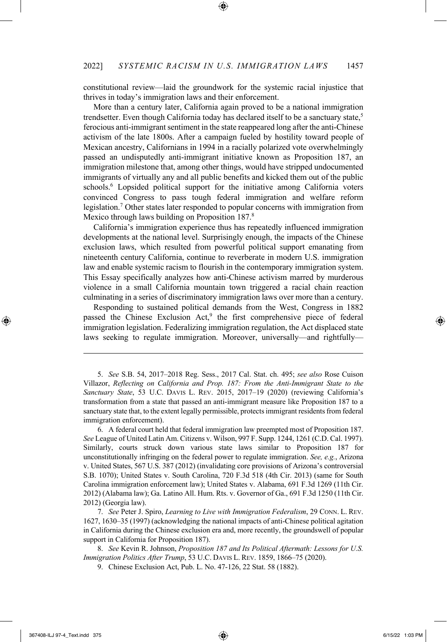constitutional review—laid the groundwork for the systemic racial injustice that thrives in today's immigration laws and their enforcement.

More than a century later, California again proved to be a national immigration trendsetter. Even though California today has declared itself to be a sanctuary state, $5$ ferocious anti-immigrant sentiment in the state reappeared long after the anti-Chinese activism of the late 1800s. After a campaign fueled by hostility toward people of Mexican ancestry, Californians in 1994 in a racially polarized vote overwhelmingly passed an undisputedly anti-immigrant initiative known as Proposition 187, an immigration milestone that, among other things, would have stripped undocumented immigrants of virtually any and all public benefits and kicked them out of the public schools.<sup>6</sup> Lopsided political support for the initiative among California voters convinced Congress to pass tough federal immigration and welfare reform legislation.7 Other states later responded to popular concerns with immigration from Mexico through laws building on Proposition 187.8

California's immigration experience thus has repeatedly influenced immigration developments at the national level. Surprisingly enough, the impacts of the Chinese exclusion laws, which resulted from powerful political support emanating from nineteenth century California, continue to reverberate in modern U.S. immigration law and enable systemic racism to flourish in the contemporary immigration system. This Essay specifically analyzes how anti-Chinese activism marred by murderous violence in a small California mountain town triggered a racial chain reaction culminating in a series of discriminatory immigration laws over more than a century.

Responding to sustained political demands from the West, Congress in 1882 passed the Chinese Exclusion Act,<sup>9</sup> the first comprehensive piece of federal immigration legislation. Federalizing immigration regulation, the Act displaced state laws seeking to regulate immigration. Moreover, universally—and rightfully—

6. A federal court held that federal immigration law preempted most of Proposition 187. *See* League of United Latin Am. Citizens v. Wilson, 997 F. Supp. 1244, 1261 (C.D. Cal. 1997). Similarly, courts struck down various state laws similar to Proposition 187 for unconstitutionally infringing on the federal power to regulate immigration. *See, e.g.*, Arizona v. United States, 567 U.S. 387 (2012) (invalidating core provisions of Arizona's controversial S.B. 1070); United States v. South Carolina, 720 F.3d 518 (4th Cir. 2013) (same for South Carolina immigration enforcement law); United States v. Alabama, 691 F.3d 1269 (11th Cir. 2012) (Alabama law); Ga. Latino All. Hum. Rts. v. Governor of Ga., 691 F.3d 1250 (11th Cir. 2012) (Georgia law).

7. *See* Peter J. Spiro, *Learning to Live with Immigration Federalism*, 29 CONN. L. REV. 1627, 1630–35 (1997) (acknowledging the national impacts of anti-Chinese political agitation in California during the Chinese exclusion era and, more recently, the groundswell of popular support in California for Proposition 187).

8. *See* Kevin R. Johnson, *Proposition 187 and Its Political Aftermath: Lessons for U.S. Immigration Politics After Trump*, 53 U.C. DAVIS L. REV. 1859, 1866–75 (2020).

<sup>5.</sup> *See* S.B. 54, 2017–2018 Reg. Sess., 2017 Cal. Stat. ch. 495; *see also* Rose Cuison Villazor, *Reflecting on California and Prop. 187: From the Anti-Immigrant State to the Sanctuary State*, 53 U.C. DAVIS L. REV. 2015, 2017–19 (2020) (reviewing California's transformation from a state that passed an anti-immigrant measure like Proposition 187 to a sanctuary state that, to the extent legally permissible, protectsimmigrant residents from federal immigration enforcement).

<sup>9.</sup> Chinese Exclusion Act, Pub. L. No. 47-126, 22 Stat. 58 (1882).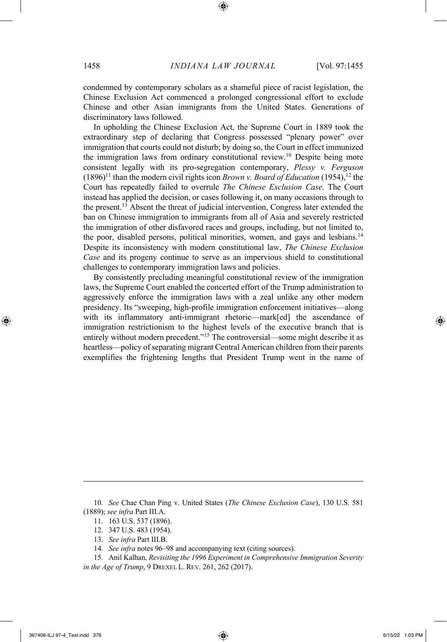condemned by contemporary scholars as a shameful piece of racist legislation, the Chinese Exclusion Act commenced a prolonged congressional effort to exclude Chinese and other Asian immigrants from the United States. Generations of discriminatory laws followed.

In upholding the Chinese Exclusion Act, the Supreme Court in 1889 took the extraordinary step of declaring that Congress possessed "plenary power" over immigration that courts could not disturb; by doing so, the Court in effect immunized the immigration laws from ordinary constitutional review. <sup>10</sup> Despite being more consistent legally with its pro-segregation contemporary, *Plessy v. Ferguson*  $(1896)^{11}$  than the modern civil rights icon *Brown v. Board of Education* (1954),<sup>12</sup> the Court has repeatedly failed to overrule *The Chinese Exclusion Case*. The Court instead has applied the decision, or cases following it, on many occasions through to the present.13 Absent the threat of judicial intervention, Congress later extended the ban on Chinese immigration to immigrants from all of Asia and severely restricted the immigration of other disfavored races and groups, including, but not limited to, the poor, disabled persons, political minorities, women, and gays and lesbians.<sup>14</sup> Despite its inconsistency with modern constitutional law, *The Chinese Exclusion Case* and its progeny continue to serve as an impervious shield to constitutional challenges to contemporary immigration laws and policies.

By consistently precluding meaningful constitutional review of the immigration laws, the Supreme Court enabled the concerted effort of the Trump administration to aggressively enforce the immigration laws with a zeal unlike any other modern presidency. Its "sweeping, high-profile immigration enforcement initiatives—along with its inflammatory anti-immigrant rhetoric—mark[ed] the ascendance of immigration restrictionism to the highest levels of the executive branch that is entirely without modern precedent."15 The controversial—some might describe it as heartless—policy of separating migrant Central American children from their parents exemplifies the frightening lengths that President Trump went in the name of

- 12. 347 U.S. 483 (1954).
- 13. *See infra* Part III.B.
- 14. *See infra* notes 96–98 and accompanying text (citing sources).

<sup>10.</sup> *See* Chae Chan Ping v. United States (*The Chinese Exclusion Case*), 130 U.S. 581 (1889); *see infra* Part III.A.

<sup>11.</sup> 163 U.S. 537 (1896).

<sup>15.</sup> Anil Kalhan, *Revisiting the 1996 Experiment in Comprehensive Immigration Severity in the Age of Trump*, 9 DREXEL L. REV. 261, 262 (2017).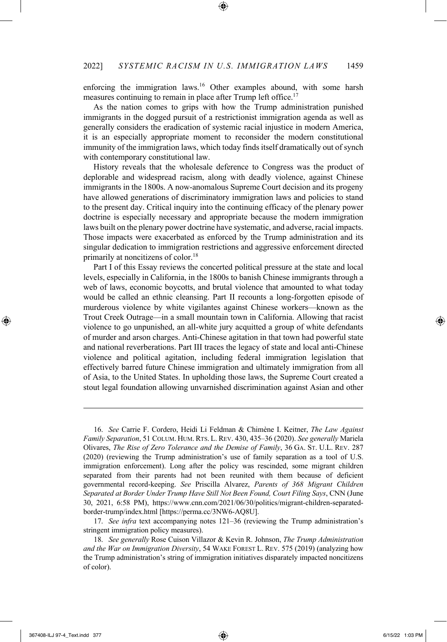enforcing the immigration laws.<sup>16</sup> Other examples abound, with some harsh measures continuing to remain in place after Trump left office.<sup>17</sup>

As the nation comes to grips with how the Trump administration punished immigrants in the dogged pursuit of a restrictionist immigration agenda as well as generally considers the eradication of systemic racial injustice in modern America, it is an especially appropriate moment to reconsider the modern constitutional immunity of the immigration laws, which today finds itself dramatically out of synch with contemporary constitutional law.

History reveals that the wholesale deference to Congress was the product of deplorable and widespread racism, along with deadly violence, against Chinese immigrants in the 1800s. A now-anomalous Supreme Court decision and its progeny have allowed generations of discriminatory immigration laws and policies to stand to the present day. Critical inquiry into the continuing efficacy of the plenary power doctrine is especially necessary and appropriate because the modern immigration laws built on the plenary power doctrine have systematic, and adverse, racial impacts. Those impacts were exacerbated as enforced by the Trump administration and its singular dedication to immigration restrictions and aggressive enforcement directed primarily at noncitizens of color.18

Part I of this Essay reviews the concerted political pressure at the state and local levels, especially in California, in the 1800s to banish Chinese immigrants through a web of laws, economic boycotts, and brutal violence that amounted to what today would be called an ethnic cleansing. Part II recounts a long-forgotten episode of murderous violence by white vigilantes against Chinese workers—known as the Trout Creek Outrage—in a small mountain town in California. Allowing that racist violence to go unpunished, an all-white jury acquitted a group of white defendants of murder and arson charges. Anti-Chinese agitation in that town had powerful state and national reverberations. Part III traces the legacy of state and local anti-Chinese violence and political agitation, including federal immigration legislation that effectively barred future Chinese immigration and ultimately immigration from all of Asia, to the United States. In upholding those laws, the Supreme Court created a stout legal foundation allowing unvarnished discrimination against Asian and other

16. *See* Carrie F. Cordero, Heidi Li Feldman & Chimène I. Keitner, *The Law Against Family Separation*, 51 COLUM. HUM. RTS. L. REV. 430, 435–36 (2020). *See generally* Mariela Olivares, *The Rise of Zero Tolerance and the Demise of Family*, 36 GA. ST. U.L. REV. 287 (2020) (reviewing the Trump administration's use of family separation as a tool of U.S. immigration enforcement). Long after the policy was rescinded, some migrant children separated from their parents had not been reunited with them because of deficient governmental record-keeping. *See* Priscilla Alvarez, *Parents of 368 Migrant Children Separated at Border Under Trump Have Still Not Been Found, Court Filing Says*, CNN (June 30, 2021, 6:58 PM), https://www.cnn.com/2021/06/30/politics/migrant-children-separatedborder-trump/index.html [https://perma.cc/3NW6-AQ8U].

17. *See infra* text accompanying notes 121–36 (reviewing the Trump administration's stringent immigration policy measures).

18. *See generally* Rose Cuison Villazor & Kevin R. Johnson, *The Trump Administration and the War on Immigration Diversity*, 54 WAKE FOREST L. REV. 575 (2019) (analyzing how the Trump administration's string of immigration initiatives disparately impacted noncitizens of color).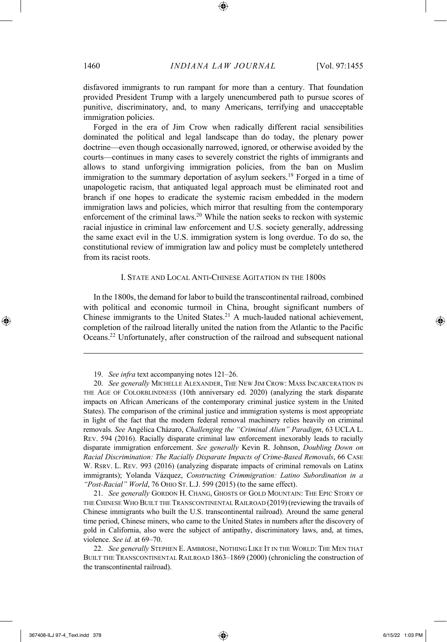disfavored immigrants to run rampant for more than a century. That foundation provided President Trump with a largely unencumbered path to pursue scores of punitive, discriminatory, and, to many Americans, terrifying and unacceptable immigration policies.

Forged in the era of Jim Crow when radically different racial sensibilities dominated the political and legal landscape than do today, the plenary power doctrine—even though occasionally narrowed, ignored, or otherwise avoided by the courts—continues in many cases to severely constrict the rights of immigrants and allows to stand unforgiving immigration policies, from the ban on Muslim immigration to the summary deportation of asylum seekers.<sup>19</sup> Forged in a time of unapologetic racism, that antiquated legal approach must be eliminated root and branch if one hopes to eradicate the systemic racism embedded in the modern immigration laws and policies, which mirror that resulting from the contemporary enforcement of the criminal laws.20 While the nation seeks to reckon with systemic racial injustice in criminal law enforcement and U.S. society generally, addressing the same exact evil in the U.S. immigration system is long overdue. To do so, the constitutional review of immigration law and policy must be completely untethered from its racist roots.

#### I. STATE AND LOCAL ANTI-CHINESE AGITATION IN THE 1800S

In the 1800s, the demand for labor to build the transcontinental railroad, combined with political and economic turmoil in China, brought significant numbers of Chinese immigrants to the United States.21 A much-lauded national achievement, completion of the railroad literally united the nation from the Atlantic to the Pacific Oceans.22 Unfortunately, after construction of the railroad and subsequent national

21. *See generally* GORDON H. CHANG, GHOSTS OF GOLD MOUNTAIN: THE EPIC STORY OF THE CHINESE WHO BUILT THE TRANSCONTINENTAL RAILROAD (2019)(reviewing the travails of Chinese immigrants who built the U.S. transcontinental railroad). Around the same general time period, Chinese miners, who came to the United States in numbers after the discovery of gold in California, also were the subject of antipathy, discriminatory laws, and, at times, violence. *See id.* at 69–70.

<sup>19.</sup> *See infra* text accompanying notes 121–26.

<sup>20.</sup> *See generally* MICHELLE ALEXANDER, THE NEW JIM CROW: MASS INCARCERATION IN THE AGE OF COLORBLINDNESS (10th anniversary ed. 2020) (analyzing the stark disparate impacts on African Americans of the contemporary criminal justice system in the United States). The comparison of the criminal justice and immigration systems is most appropriate in light of the fact that the modern federal removal machinery relies heavily on criminal removals. *See* Angélica Cházaro, *Challenging the "Criminal Alien" Paradigm*, 63 UCLA L. REV. 594 (2016). Racially disparate criminal law enforcement inexorably leads to racially disparate immigration enforcement. *See generally* Kevin R. Johnson, *Doubling Down on Racial Discrimination: The Racially Disparate Impacts of Crime-Based Removals*, 66 CASE W. RSRV. L. REV. 993 (2016) (analyzing disparate impacts of criminal removals on Latinx immigrants); Yolanda Vázquez, *Constructing Crimmigration: Latino Subordination in a "Post-Racial" World*, 76 OHIO ST. L.J. 599 (2015) (to the same effect).

<sup>22.</sup> *See generally* STEPHEN E. AMBROSE, NOTHING LIKE IT IN THE WORLD: THE MEN THAT BUILT THE TRANSCONTINENTAL RAILROAD 1863–1869 (2000) (chronicling the construction of the transcontinental railroad).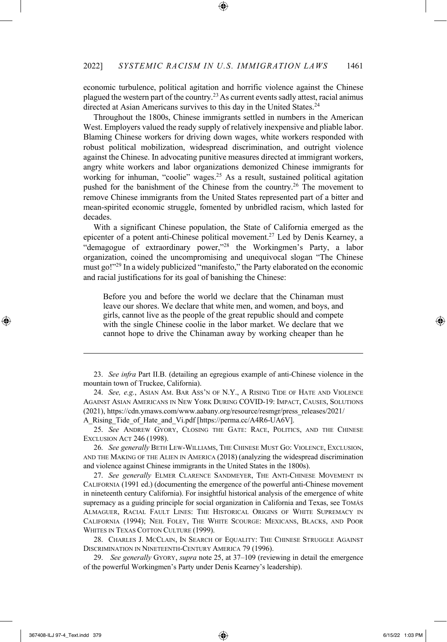economic turbulence, political agitation and horrific violence against the Chinese plagued the western part of the country.<sup>23</sup> As current events sadly attest, racial animus directed at Asian Americans survives to this day in the United States.<sup>24</sup>

Throughout the 1800s, Chinese immigrants settled in numbers in the American West. Employers valued the ready supply of relatively inexpensive and pliable labor. Blaming Chinese workers for driving down wages, white workers responded with robust political mobilization, widespread discrimination, and outright violence against the Chinese. In advocating punitive measures directed at immigrant workers, angry white workers and labor organizations demonized Chinese immigrants for working for inhuman, "coolie" wages.<sup>25</sup> As a result, sustained political agitation pushed for the banishment of the Chinese from the country.<sup>26</sup> The movement to remove Chinese immigrants from the United States represented part of a bitter and mean-spirited economic struggle, fomented by unbridled racism, which lasted for decades.

With a significant Chinese population, the State of California emerged as the epicenter of a potent anti-Chinese political movement.27 Led by Denis Kearney, a "demagogue of extraordinary power,"28 the Workingmen's Party, a labor organization, coined the uncompromising and unequivocal slogan "The Chinese must go!"29 In a widely publicized "manifesto," the Party elaborated on the economic and racial justifications for its goal of banishing the Chinese:

Before you and before the world we declare that the Chinaman must leave our shores. We declare that white men, and women, and boys, and girls, cannot live as the people of the great republic should and compete with the single Chinese coolie in the labor market. We declare that we cannot hope to drive the Chinaman away by working cheaper than he

A\_Rising\_Tide\_of\_Hate\_and\_Vi.pdf [https://perma.cc/A4R6-UA6V].

25. *See* ANDREW GYORY, CLOSING THE GATE: RACE, POLITICS, AND THE CHINESE EXCLUSION ACT 246 (1998).

26. *See generally* BETH LEW-WILLIAMS, THE CHINESE MUST GO: VIOLENCE, EXCLUSION, AND THE MAKING OF THE ALIEN IN AMERICA (2018) (analyzing the widespread discrimination and violence against Chinese immigrants in the United States in the 1800s).

27. *See generally* ELMER CLARENCE SANDMEYER, THE ANTI-CHINESE MOVEMENT IN CALIFORNIA (1991 ed.) (documenting the emergence of the powerful anti-Chinese movement in nineteenth century California). For insightful historical analysis of the emergence of white supremacy as a guiding principle for social organization in California and Texas, see TOMÁS ALMAGUER, RACIAL FAULT LINES: THE HISTORICAL ORIGINS OF WHITE SUPREMACY IN CALIFORNIA (1994); NEIL FOLEY, THE WHITE SCOURGE: MEXICANS, BLACKS, AND POOR WHITES IN TEXAS COTTON CULTURE (1999).

28. CHARLES J. MCCLAIN, IN SEARCH OF EQUALITY: THE CHINESE STRUGGLE AGAINST DISCRIMINATION IN NINETEENTH-CENTURY AMERICA 79 (1996).

29. *See generally* GYORY, *supra* note 25, at 37–109 (reviewing in detail the emergence of the powerful Workingmen's Party under Denis Kearney's leadership).

<sup>23.</sup> *See infra* Part II.B. (detailing an egregious example of anti-Chinese violence in the mountain town of Truckee, California).

<sup>24.</sup> *See, e.g.*, ASIAN AM. BAR ASS'N OF N.Y., A RISING TIDE OF HATE AND VIOLENCE AGAINST ASIAN AMERICANS IN NEW YORK DURING COVID-19: IMPACT, CAUSES, SOLUTIONS (2021), https://cdn.ymaws.com/www.aabany.org/resource/resmgr/press\_releases/2021/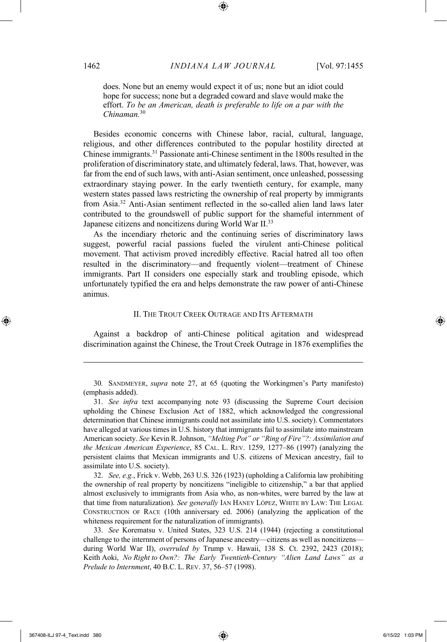does. None but an enemy would expect it of us; none but an idiot could hope for success; none but a degraded coward and slave would make the effort. *To be an American, death is preferable to life on a par with the Chinaman.*<sup>30</sup>

Besides economic concerns with Chinese labor, racial, cultural, language, religious, and other differences contributed to the popular hostility directed at Chinese immigrants. <sup>31</sup> Passionate anti-Chinese sentiment in the 1800s resulted in the proliferation of discriminatory state, and ultimately federal, laws. That, however, was far from the end of such laws, with anti-Asian sentiment, once unleashed, possessing extraordinary staying power. In the early twentieth century, for example, many western states passed laws restricting the ownership of real property by immigrants from Asia.32 Anti-Asian sentiment reflected in the so-called alien land laws later contributed to the groundswell of public support for the shameful internment of Japanese citizens and noncitizens during World War II.33

As the incendiary rhetoric and the continuing series of discriminatory laws suggest, powerful racial passions fueled the virulent anti-Chinese political movement. That activism proved incredibly effective. Racial hatred all too often resulted in the discriminatory—and frequently violent—treatment of Chinese immigrants. Part II considers one especially stark and troubling episode, which unfortunately typified the era and helps demonstrate the raw power of anti-Chinese animus.

#### II. THE TROUT CREEK OUTRAGE AND ITS AFTERMATH

Against a backdrop of anti-Chinese political agitation and widespread discrimination against the Chinese, the Trout Creek Outrage in 1876 exemplifies the

30*.* SANDMEYER, *supra* note 27, at 65 (quoting the Workingmen's Party manifesto) (emphasis added).

32. *See, e.g.*, Frick v. Webb, 263 U.S. 326 (1923) (upholding a California law prohibiting the ownership of real property by noncitizens "ineligible to citizenship," a bar that applied almost exclusively to immigrants from Asia who, as non-whites, were barred by the law at that time from naturalization). *See generally* IAN HANEY LÓPEZ, WHITE BY LAW: THE LEGAL CONSTRUCTION OF RACE (10th anniversary ed. 2006) (analyzing the application of the whiteness requirement for the naturalization of immigrants).

33. *See* Korematsu v. United States, 323 U.S. 214 (1944) (rejecting a constitutional challenge to the internment of persons of Japanese ancestry—citizens as well as noncitizens during World War II), *overruled by* Trump v. Hawaii, 138 S. Ct. 2392, 2423 (2018); Keith Aoki, *No Right to Own?: The Early Twentieth-Century "Alien Land Laws" as a Prelude to Internment*, 40 B.C. L. REV. 37, 56–57 (1998).

<sup>31.</sup> *See infra* text accompanying note 93 (discussing the Supreme Court decision upholding the Chinese Exclusion Act of 1882, which acknowledged the congressional determination that Chinese immigrants could not assimilate into U.S. society). Commentators have alleged at various times in U.S. history that immigrants fail to assimilate into mainstream American society. *See* Kevin R. Johnson, *"Melting Pot" or "Ring of Fire"?: Assimilation and the Mexican American Experience*, 85 CAL. L. REV. 1259, 1277–86 (1997) (analyzing the persistent claims that Mexican immigrants and U.S. citizens of Mexican ancestry, fail to assimilate into U.S. society).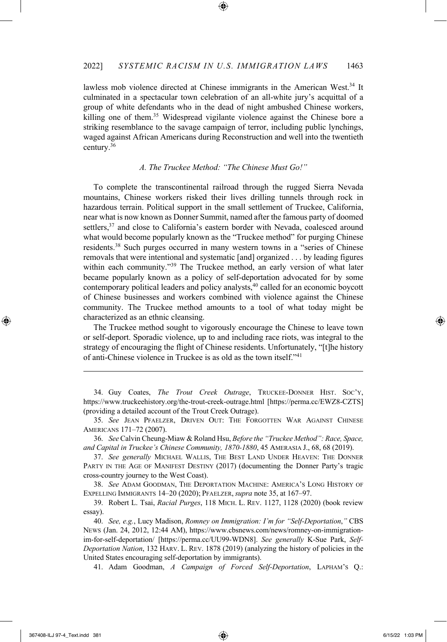lawless mob violence directed at Chinese immigrants in the American West.<sup>34</sup> It culminated in a spectacular town celebration of an all-white jury's acquittal of a group of white defendants who in the dead of night ambushed Chinese workers, killing one of them.<sup>35</sup> Widespread vigilante violence against the Chinese bore a striking resemblance to the savage campaign of terror, including public lynchings, waged against African Americans during Reconstruction and well into the twentieth century. 36

#### *A. The Truckee Method: "The Chinese Must Go!"*

To complete the transcontinental railroad through the rugged Sierra Nevada mountains, Chinese workers risked their lives drilling tunnels through rock in hazardous terrain. Political support in the small settlement of Truckee, California, near what is now known as Donner Summit, named after the famous party of doomed settlers,<sup>37</sup> and close to California's eastern border with Nevada, coalesced around what would become popularly known as the "Truckee method" for purging Chinese residents.38 Such purges occurred in many western towns in a "series of Chinese removals that were intentional and systematic [and] organized . . . by leading figures within each community."<sup>39</sup> The Truckee method, an early version of what later became popularly known as a policy of self-deportation advocated for by some contemporary political leaders and policy analysts, <sup>40</sup> called for an economic boycott of Chinese businesses and workers combined with violence against the Chinese community. The Truckee method amounts to a tool of what today might be characterized as an ethnic cleansing.

The Truckee method sought to vigorously encourage the Chinese to leave town or self-deport. Sporadic violence, up to and including race riots, was integral to the strategy of encouraging the flight of Chinese residents. Unfortunately, "[t]he history of anti-Chinese violence in Truckee is as old as the town itself."41

34. Guy Coates, *The Trout Creek Outrage*, TRUCKEE-DONNER HIST. SOC'Y, https://www.truckeehistory.org/the-trout-creek-outrage.html [https://perma.cc/EWZ8-CZTS] (providing a detailed account of the Trout Creek Outrage).

35. *See* JEAN PFAELZER, DRIVEN OUT: THE FORGOTTEN WAR AGAINST CHINESE AMERICANS 171–72 (2007).

36. *See* Calvin Cheung-Miaw & Roland Hsu, *Before the "Truckee Method": Race, Space, and Capital in Truckee's Chinese Community, 1870-1880*, 45 AMERASIA J., 68, 68 (2019).

37. *See generally* MICHAEL WALLIS, THE BEST LAND UNDER HEAVEN: THE DONNER PARTY IN THE AGE OF MANIFEST DESTINY (2017) (documenting the Donner Party's tragic cross-country journey to the West Coast).

38. *See* ADAM GOODMAN, THE DEPORTATION MACHINE: AMERICA'S LONG HISTORY OF EXPELLING IMMIGRANTS 14–20 (2020); PFAELZER,*supra* note 35, at 167–97.

39. Robert L. Tsai, *Racial Purges*, 118 MICH. L. REV. 1127, 1128 (2020) (book review essay).

40. *See, e.g.*, Lucy Madison, *Romney on Immigration: I'm for "Self-Deportation*,*"* CBS NEWS (Jan. 24, 2012, 12:44 AM), https://www.cbsnews.com/news/romney-on-immigrationim-for-self-deportation/ [https://perma.cc/UU99-WDN8]. *See generally* K-Sue Park, *Self-Deportation Nation*, 132 HARV. L. REV. 1878 (2019) (analyzing the history of policies in the United States encouraging self-deportation by immigrants).

41. Adam Goodman, *A Campaign of Forced Self-Deportation*, LAPHAM'S Q.: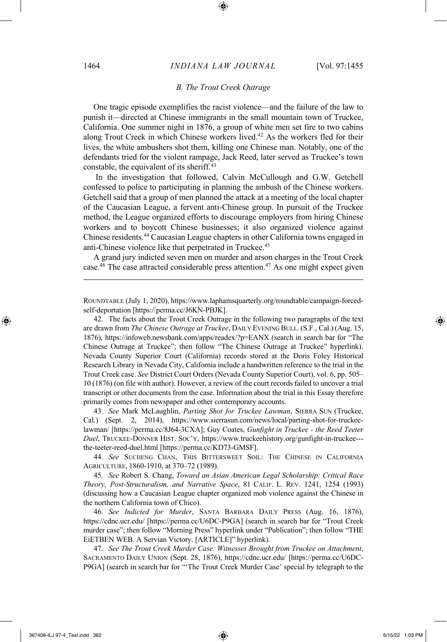#### *B. The Trout Creek Outrage*

One tragic episode exemplifies the racist violence—and the failure of the law to punish it—directed at Chinese immigrants in the small mountain town of Truckee, California. One summer night in 1876, a group of white men set fire to two cabins along Trout Creek in which Chinese workers lived. <sup>42</sup> As the workers fled for their lives, the white ambushers shot them, killing one Chinese man. Notably, one of the defendants tried for the violent rampage, Jack Reed, later served as Truckee's town constable, the equivalent of its sheriff.<sup>43</sup>

In the investigation that followed, Calvin McCullough and G.W. Getchell confessed to police to participating in planning the ambush of the Chinese workers. Getchell said that a group of men planned the attack at a meeting of the local chapter of the Caucasian League, a fervent anti-Chinese group. In pursuit of the Truckee method, the League organized efforts to discourage employers from hiring Chinese workers and to boycott Chinese businesses; it also organized violence against Chinese residents. <sup>44</sup> Caucasian League chapters in other California towns engaged in anti-Chinese violence like that perpetrated in Truckee. 45

A grand jury indicted seven men on murder and arson charges in the Trout Creek case.<sup>46</sup> The case attracted considerable press attention.<sup>47</sup> As one might expect given

ROUNDTABLE (July 1, 2020), https://www.laphamsquarterly.org/roundtable/campaign-forcedself-deportation [https://perma.cc/J6KN-PBJK].

42. The facts about the Trout Creek Outrage in the following two paragraphs of the text are drawn from *The Chinese Outrage at Truckee*, DAILY EVENING BULL. (S.F., Cal.) (Aug. 15, 1876), https://infoweb.newsbank.com/apps/readex/?p=EANX (search in search bar for "The Chinese Outrage at Truckee"; then follow "The Chinese Outrage at Truckee" hyperlink). Nevada County Superior Court (California) records stored at the Doris Foley Historical Research Library in Nevada City, California include a handwritten reference to the trial in the Trout Creek case. *See* District Court Orders (Nevada County Superior Court), vol. 6, pp. 505– 10 (1876) (on file with author). However, a review of the court records failed to uncover a trial transcript or other documents from the case. Information about the trial in this Essay therefore primarily comes from newspaper and other contemporary accounts.

43. *See* Mark McLaughlin, *Parting Shot for Truckee Lawman*, SIERRA SUN (Truckee, Cal.) (Sept. 2, 2014), https://www.sierrasun.com/news/local/parting-shot-for-truckeelawman/ [https://perma.cc/8J64-3CXA]; Guy Coates, *Gunfight in Truckee - the Reed Teeter Duel*, TRUCKEE-DONNER HIST. SOC'Y, https://www.truckeehistory.org/gunfight-in-truckee-- the-teeter-reed-duel.html [https://perma.cc/KD73-GMSF].

44. *See* SUCHENG CHAN, THIS BITTERSWEET SOIL: THE CHINESE IN CALIFORNIA AGRICULTURE, 1860-1910, at 370–72 (1989).

45. *See* Robert S. Chang, *Toward an Asian American Legal Scholarship: Critical Race Theory, Post-Structuralism, and Narrative Space*, 81 CALIF. L. REV. 1241, 1254 (1993) (discussing how a Caucasian League chapter organized mob violence against the Chinese in the northern California town of Chico).

46. *See Indicted for Murder*, SANTA BARBARA DAILY PRESS (Aug. 16, 1876), https://cdnc.ucr.edu/ [https://perma.cc/U6DC-P9GA] (search in search bar for "Trout Creek murder case"; then follow "Morning Press" hyperlink under "Publication"; then follow "THE EiETBEN WEB. A Servian Victory. [ARTICLE]" hyperlink).

47. *See The Trout Creek Murder Case: Witnesses Brought from Truckee on Attachment*, SACRAMENTO DAILY UNION (Sept. 28, 1876), https://cdnc.ucr.edu/ [https://perma.cc/U6DC-P9GA] (search in search bar for "'The Trout Creek Murder Case' special by telegraph to the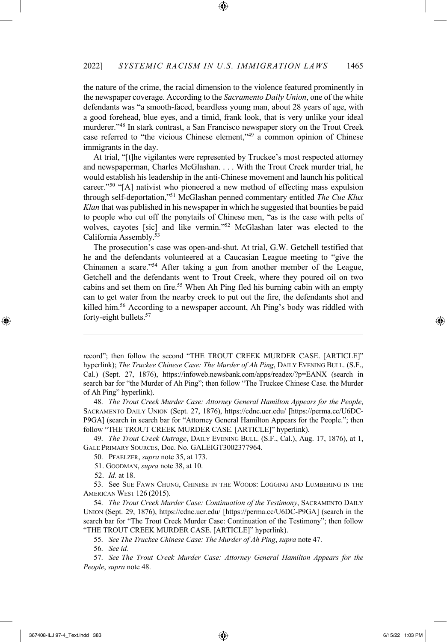the nature of the crime, the racial dimension to the violence featured prominently in the newspaper coverage. According to the *Sacramento Daily Union*, one of the white defendants was "a smooth-faced, beardless young man, about 28 years of age, with a good forehead, blue eyes, and a timid, frank look, that is very unlike your ideal murderer."48 In stark contrast, a San Francisco newspaper story on the Trout Creek case referred to "the vicious Chinese element,"49 a common opinion of Chinese immigrants in the day.

At trial, "[t]he vigilantes were represented by Truckee's most respected attorney and newspaperman, Charles McGlashan. . . . With the Trout Creek murder trial, he would establish his leadership in the anti-Chinese movement and launch his political career."<sup>50</sup> "[A] nativist who pioneered a new method of effecting mass expulsion through self-deportation,"51 McGlashan penned commentary entitled *The Cue Klux Klan* that was published in his newspaper in which he suggested that bounties be paid to people who cut off the ponytails of Chinese men, "as is the case with pelts of wolves, cayotes [sic] and like vermin."52 McGlashan later was elected to the California Assembly.53

The prosecution's case was open-and-shut. At trial, G.W. Getchell testified that he and the defendants volunteered at a Caucasian League meeting to "give the Chinamen a scare."54 After taking a gun from another member of the League, Getchell and the defendants went to Trout Creek, where they poured oil on two cabins and set them on fire. <sup>55</sup> When Ah Ping fled his burning cabin with an empty can to get water from the nearby creek to put out the fire, the defendants shot and killed him.56 According to a newspaper account, Ah Ping's body was riddled with forty-eight bullets.<sup>57</sup>

48. *The Trout Creek Murder Case: Attorney General Hamilton Appears for the People*, SACRAMENTO DAILY UNION (Sept. 27, 1876), https://cdnc.ucr.edu/ [https://perma.cc/U6DC-P9GA] (search in search bar for "Attorney General Hamilton Appears for the People."; then follow "THE TROUT CREEK MURDER CASE. [ARTICLE]" hyperlink).

49. *The Trout Creek Outrage*, DAILY EVENING BULL. (S.F., Cal.), Aug. 17, 1876), at 1, GALE PRIMARY SOURCES, Doc. No. GALEIGT3002377964.

50. PFAELZER, *supra* note 35, at 173.

51. GOODMAN, *supra* note 38, at 10.

52. *Id.* at 18.

53. See SUE FAWN CHUNG, CHINESE IN THE WOODS: LOGGING AND LUMBERING IN THE AMERICAN WEST 126 (2015).

54. *The Trout Creek Murder Case: Continuation of the Testimony*, SACRAMENTO DAILY UNION (Sept. 29, 1876), https://cdnc.ucr.edu/ [https://perma.cc/U6DC-P9GA] (search in the search bar for "The Trout Creek Murder Case: Continuation of the Testimony"; then follow "THE TROUT CREEK MURDER CASE. [ARTICLE]" hyperlink).

55. *See The Truckee Chinese Case: The Murder of Ah Ping*, *supra* note 47.

56. *See id.*

57. *See The Trout Creek Murder Case: Attorney General Hamilton Appears for the People*, *supra* note 48.

record"; then follow the second "THE TROUT CREEK MURDER CASE. [ARTICLE]" hyperlink); *The Truckee Chinese Case: The Murder of Ah Ping*, DAILY EVENING BULL. (S.F., Cal.) (Sept. 27, 1876), https://infoweb.newsbank.com/apps/readex/?p=EANX (search in search bar for "the Murder of Ah Ping"; then follow "The Truckee Chinese Case. the Murder of Ah Ping" hyperlink).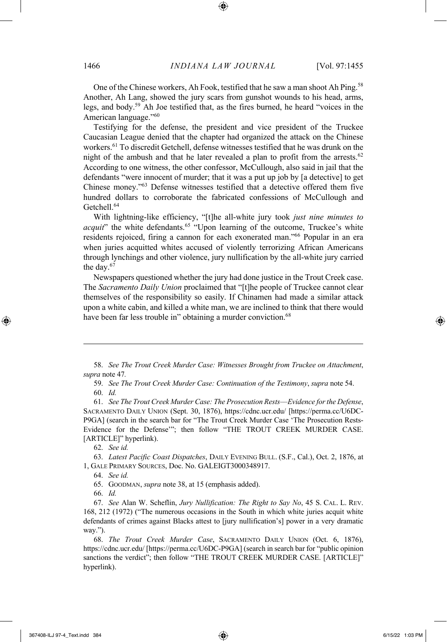One of the Chinese workers, Ah Fook, testified that he saw a man shoot Ah Ping.<sup>58</sup> Another, Ah Lang, showed the jury scars from gunshot wounds to his head, arms, legs, and body.59 Ah Joe testified that, as the fires burned, he heard "voices in the American language."60

Testifying for the defense, the president and vice president of the Truckee Caucasian League denied that the chapter had organized the attack on the Chinese workers. <sup>61</sup> To discredit Getchell, defense witnesses testified that he was drunk on the night of the ambush and that he later revealed a plan to profit from the arrests.<sup>62</sup> According to one witness, the other confessor, McCullough, also said in jail that the defendants "were innocent of murder; that it was a put up job by [a detective] to get Chinese money."63 Defense witnesses testified that a detective offered them five hundred dollars to corroborate the fabricated confessions of McCullough and Getchell.<sup>64</sup>

With lightning-like efficiency, "[t]he all-white jury took *just nine minutes to acquit*" the white defendants.<sup>65</sup> "Upon learning of the outcome, Truckee's white residents rejoiced, firing a cannon for each exonerated man."66 Popular in an era when juries acquitted whites accused of violently terrorizing African Americans through lynchings and other violence, jury nullification by the all-white jury carried the day.67

Newspapers questioned whether the jury had done justice in the Trout Creek case. The *Sacramento Daily Union* proclaimed that "[t]he people of Truckee cannot clear themselves of the responsibility so easily. If Chinamen had made a similar attack upon a white cabin, and killed a white man, we are inclined to think that there would have been far less trouble in" obtaining a murder conviction.<sup>68</sup>

58. *See The Trout Creek Murder Case: Witnesses Brought from Truckee on Attachment*, *supra* note 47*.*

59. *See The Trout Creek Murder Case: Continuation of the Testimony*, *supra* note 54.

61. *See The Trout Creek Murder Case: The Prosecution Rests––Evidence for the Defense*, SACRAMENTO DAILY UNION (Sept. 30, 1876), https://cdnc.ucr.edu/ [https://perma.cc/U6DC-P9GA] (search in the search bar for "The Trout Creek Murder Case 'The Prosecution Rests-Evidence for the Defense'"; then follow "THE TROUT CREEK MURDER CASE. [ARTICLE]" hyperlink).

62. *See id.*

63. *Latest Pacific Coast Dispatches*, DAILY EVENING BULL. (S.F., Cal.), Oct. 2, 1876, at 1, GALE PRIMARY SOURCES, Doc. No. GALEIGT3000348917.

64. *See id.*

65. GOODMAN, *supra* note 38, at 15 (emphasis added).

66. *Id.*

67. *See* Alan W. Scheflin, *Jury Nullification: The Right to Say No*, 45 S. CAL. L. REV. 168, 212 (1972) ("The numerous occasions in the South in which white juries acquit white defendants of crimes against Blacks attest to [jury nullification's] power in a very dramatic way.").

68. *The Trout Creek Murder Case*, SACRAMENTO DAILY UNION (Oct. 6, 1876), https://cdnc.ucr.edu/ [https://perma.cc/U6DC-P9GA] (search in search bar for "public opinion sanctions the verdict"; then follow "THE TROUT CREEK MURDER CASE. [ARTICLE]" hyperlink).

<sup>60.</sup> *Id.*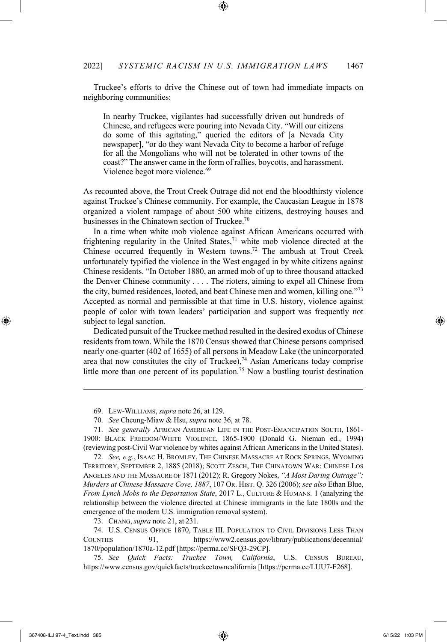Truckee's efforts to drive the Chinese out of town had immediate impacts on neighboring communities:

In nearby Truckee, vigilantes had successfully driven out hundreds of Chinese, and refugees were pouring into Nevada City. "Will our citizens do some of this agitating," queried the editors of [a Nevada City newspaper], "or do they want Nevada City to become a harbor of refuge for all the Mongolians who will not be tolerated in other towns of the coast?" The answer came in the form of rallies, boycotts, and harassment. Violence begot more violence.<sup>69</sup>

As recounted above, the Trout Creek Outrage did not end the bloodthirsty violence against Truckee's Chinese community. For example, the Caucasian League in 1878 organized a violent rampage of about 500 white citizens, destroying houses and businesses in the Chinatown section of Truckee. $70$ 

In a time when white mob violence against African Americans occurred with frightening regularity in the United States, $71$  white mob violence directed at the Chinese occurred frequently in Western towns.72 The ambush at Trout Creek unfortunately typified the violence in the West engaged in by white citizens against Chinese residents. "In October 1880, an armed mob of up to three thousand attacked the Denver Chinese community . . . . The rioters, aiming to expel all Chinese from the city, burned residences, looted, and beat Chinese men and women, killing one."73 Accepted as normal and permissible at that time in U.S. history, violence against people of color with town leaders' participation and support was frequently not subject to legal sanction.

Dedicated pursuit of the Truckee method resulted in the desired exodus of Chinese residents from town. While the 1870 Census showed that Chinese persons comprised nearly one-quarter (402 of 1655) of all persons in Meadow Lake (the unincorporated area that now constitutes the city of Truckee), $74$  Asian Americans today comprise little more than one percent of its population.<sup>75</sup> Now a bustling tourist destination

72. *See, e.g.*, ISAAC H. BROMLEY, THE CHINESE MASSACRE AT ROCK SPRINGS, WYOMING TERRITORY, SEPTEMBER 2, 1885 (2018); SCOTT ZESCH, THE CHINATOWN WAR: CHINESE LOS ANGELES AND THE MASSACRE OF 1871 (2012); R. Gregory Nokes, *"A Most Daring Outrage": Murders at Chinese Massacre Cove, 1887*, 107 OR. HIST. Q. 326 (2006); *see also* Ethan Blue, *From Lynch Mobs to the Deportation State*, 2017 L., CULTURE & HUMANS. 1 (analyzing the relationship between the violence directed at Chinese immigrants in the late 1800s and the emergence of the modern U.S. immigration removal system).

<sup>69.</sup> LEW-WILLIAMS, *supra* note 26, at 129.

<sup>70.</sup> *See* Cheung-Miaw & Hsu, *supra* note 36, at 78.

<sup>71.</sup> *See generally* AFRICAN AMERICAN LIFE IN THE POST-EMANCIPATION SOUTH, 1861- 1900: BLACK FREEDOM/WHITE VIOLENCE, 1865-1900 (Donald G. Nieman ed., 1994) (reviewing post-Civil War violence by whites against African Americans in the United States).

<sup>73.</sup> CHANG,*supra* note 21, at 231.

<sup>74.</sup> U.S. CENSUS OFFICE 1870, TABLE III. POPULATION TO CIVIL DIVISIONS LESS THAN COUNTIES 91, https://www2.census.gov/library/publications/decennial/ 1870/population/1870a-12.pdf [https://perma.cc/SFQ3-29CP].

<sup>75.</sup> *See Quick Facts: Truckee Town, California*, U.S. CENSUS BUREAU, https://www.census.gov/quickfacts/truckeetowncalifornia [https://perma.cc/LUU7-F268].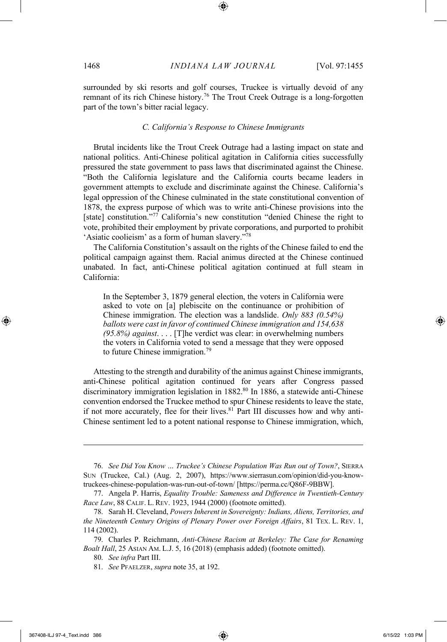surrounded by ski resorts and golf courses, Truckee is virtually devoid of any remnant of its rich Chinese history.76 The Trout Creek Outrage is a long-forgotten part of the town's bitter racial legacy.

#### *C. California's Response to Chinese Immigrants*

Brutal incidents like the Trout Creek Outrage had a lasting impact on state and national politics. Anti-Chinese political agitation in California cities successfully pressured the state government to pass laws that discriminated against the Chinese. "Both the California legislature and the California courts became leaders in government attempts to exclude and discriminate against the Chinese. California's legal oppression of the Chinese culminated in the state constitutional convention of 1878, the express purpose of which was to write anti-Chinese provisions into the [state] constitution."77 California's new constitution "denied Chinese the right to vote, prohibited their employment by private corporations, and purported to prohibit 'Asiatic coolieism' as a form of human slavery."78

The California Constitution's assault on the rights of the Chinese failed to end the political campaign against them. Racial animus directed at the Chinese continued unabated. In fact, anti-Chinese political agitation continued at full steam in California:

In the September 3, 1879 general election, the voters in California were asked to vote on [a] plebiscite on the continuance or prohibition of Chinese immigration. The election was a landslide. *Only 883 (0.54%) ballots were cast in favor of continued Chinese immigration and 154,638 (95.8%) against*. . . . [T]he verdict was clear: in overwhelming numbers the voters in California voted to send a message that they were opposed to future Chinese immigration.79

Attesting to the strength and durability of the animus against Chinese immigrants, anti-Chinese political agitation continued for years after Congress passed discriminatory immigration legislation in 1882.<sup>80</sup> In 1886, a statewide anti-Chinese convention endorsed the Truckee method to spur Chinese residents to leave the state, if not more accurately, flee for their lives.<sup>81</sup> Part III discusses how and why anti-Chinese sentiment led to a potent national response to Chinese immigration, which,

<sup>76.</sup> *See Did You Know … Truckee's Chinese Population Was Run out of Town?*, SIERRA SUN (Truckee, Cal.) (Aug. 2, 2007), https://www.sierrasun.com/opinion/did-you-knowtruckees-chinese-population-was-run-out-of-town/ [https://perma.cc/Q86F-9BBW].

<sup>77.</sup> Angela P. Harris, *Equality Trouble: Sameness and Difference in Twentieth-Century Race Law*, 88 CALIF. L. REV. 1923, 1944 (2000) (footnote omitted).

<sup>78.</sup> Sarah H. Cleveland, *Powers Inherent in Sovereignty: Indians, Aliens, Territories, and the Nineteenth Century Origins of Plenary Power over Foreign Affairs*, 81 TEX. L. REV. 1, 114 (2002).

<sup>79.</sup> Charles P. Reichmann, *Anti-Chinese Racism at Berkeley: The Case for Renaming Boalt Hall*, 25 ASIAN AM. L.J. 5, 16 (2018) (emphasis added) (footnote omitted).

<sup>80.</sup> *See infra* Part III.

<sup>81.</sup> *See* PFAELZER, *supra* note 35, at 192.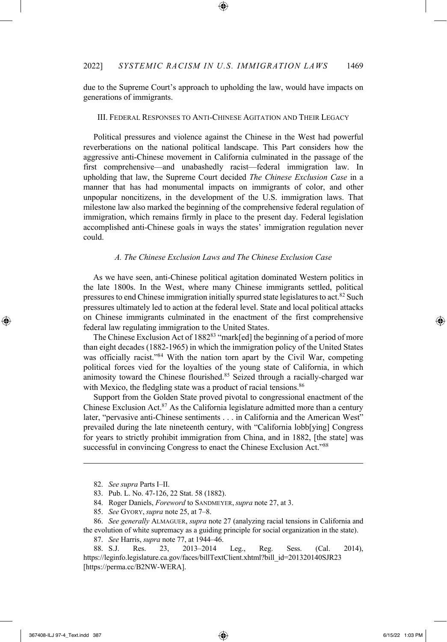due to the Supreme Court's approach to upholding the law, would have impacts on generations of immigrants.

#### III. FEDERAL RESPONSES TO ANTI-CHINESE AGITATION AND THEIR LEGACY

Political pressures and violence against the Chinese in the West had powerful reverberations on the national political landscape. This Part considers how the aggressive anti-Chinese movement in California culminated in the passage of the first comprehensive—and unabashedly racist—federal immigration law. In upholding that law, the Supreme Court decided *The Chinese Exclusion Case* in a manner that has had monumental impacts on immigrants of color, and other unpopular noncitizens, in the development of the U.S. immigration laws. That milestone law also marked the beginning of the comprehensive federal regulation of immigration, which remains firmly in place to the present day. Federal legislation accomplished anti-Chinese goals in ways the states' immigration regulation never could.

#### *A. The Chinese Exclusion Laws and The Chinese Exclusion Case*

As we have seen, anti-Chinese political agitation dominated Western politics in the late 1800s. In the West, where many Chinese immigrants settled, political pressures to end Chinese immigration initially spurred state legislatures to act.<sup>82</sup> Such pressures ultimately led to action at the federal level. State and local political attacks on Chinese immigrants culminated in the enactment of the first comprehensive federal law regulating immigration to the United States.

The Chinese Exclusion Act of 1882<sup>83</sup> "mark[ed] the beginning of a period of more than eight decades (1882-1965) in which the immigration policy of the United States was officially racist."<sup>84</sup> With the nation torn apart by the Civil War, competing political forces vied for the loyalties of the young state of California, in which animosity toward the Chinese flourished.85 Seized through a racially-charged war with Mexico, the fledgling state was a product of racial tensions.<sup>86</sup>

Support from the Golden State proved pivotal to congressional enactment of the Chinese Exclusion Act.87 As the California legislature admitted more than a century later, "pervasive anti-Chinese sentiments . . . in California and the American West" prevailed during the late nineteenth century, with "California lobb[ying] Congress for years to strictly prohibit immigration from China, and in 1882, [the state] was successful in convincing Congress to enact the Chinese Exclusion Act."<sup>88</sup>

<sup>82.</sup> *See supra* Parts I–II.

<sup>83.</sup> Pub. L. No. 47-126, 22 Stat. 58 (1882).

<sup>84.</sup> Roger Daniels, *Foreword* to SANDMEYER,*supra* note 27, at 3.

<sup>85.</sup> *See* GYORY,*supra* note 25, at 7–8.

<sup>86.</sup> *See generally* ALMAGUER, *supra* note 27 (analyzing racial tensions in California and the evolution of white supremacy as a guiding principle for social organization in the state).

<sup>87.</sup> *See* Harris, *supra* note 77, at 1944–46.

<sup>88.</sup> S.J. Res. 23, 2013–2014 Leg., Reg. Sess. (Cal. 2014), https://leginfo.legislature.ca.gov/faces/billTextClient.xhtml?bill\_id=201320140SJR23 [https://perma.cc/B2NW-WERA].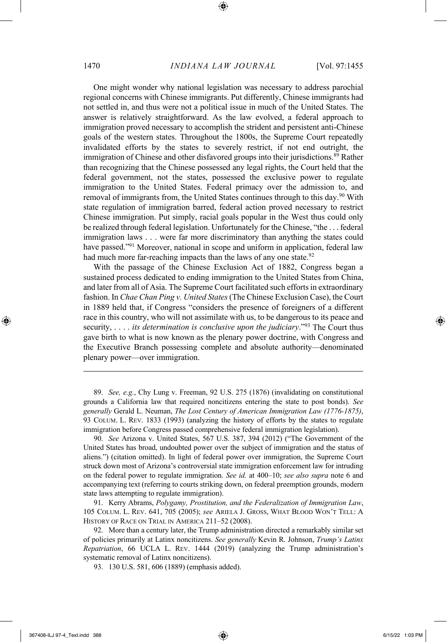One might wonder why national legislation was necessary to address parochial regional concerns with Chinese immigrants. Put differently, Chinese immigrants had not settled in, and thus were not a political issue in much of the United States. The answer is relatively straightforward. As the law evolved, a federal approach to immigration proved necessary to accomplish the strident and persistent anti-Chinese goals of the western states. Throughout the 1800s, the Supreme Court repeatedly invalidated efforts by the states to severely restrict, if not end outright, the immigration of Chinese and other disfavored groups into their jurisdictions. <sup>89</sup> Rather than recognizing that the Chinese possessed any legal rights, the Court held that the federal government, not the states, possessed the exclusive power to regulate immigration to the United States. Federal primacy over the admission to, and removal of immigrants from, the United States continues through to this day.<sup>90</sup> With state regulation of immigration barred, federal action proved necessary to restrict Chinese immigration. Put simply, racial goals popular in the West thus could only be realized through federal legislation. Unfortunately for the Chinese, "the . . . federal immigration laws . . . were far more discriminatory than anything the states could have passed."91 Moreover, national in scope and uniform in application, federal law had much more far-reaching impacts than the laws of any one state.<sup>92</sup>

With the passage of the Chinese Exclusion Act of 1882, Congress began a sustained process dedicated to ending immigration to the United States from China, and later from all of Asia. The Supreme Court facilitated such efforts in extraordinary fashion. In *Chae Chan Ping v. United States*(The Chinese Exclusion Case), the Court in 1889 held that, if Congress "considers the presence of foreigners of a different race in this country, who will not assimilate with us, to be dangerous to its peace and security, . . . . *its determination is conclusive upon the judiciary*."93 The Court thus gave birth to what is now known as the plenary power doctrine, with Congress and the Executive Branch possessing complete and absolute authority—denominated plenary power—over immigration.

89. *See, e.g.*, Chy Lung v. Freeman, 92 U.S. 275 (1876) (invalidating on constitutional grounds a California law that required noncitizens entering the state to post bonds). *See generally* Gerald L. Neuman, *The Lost Century of American Immigration Law (1776-1875)*, 93 COLUM. L. REV. 1833 (1993) (analyzing the history of efforts by the states to regulate immigration before Congress passed comprehensive federal immigration legislation).

90. *See* Arizona v. United States, 567 U.S. 387, 394 (2012) ("The Government of the United States has broad, undoubted power over the subject of immigration and the status of aliens.") (citation omitted). In light of federal power over immigration, the Supreme Court struck down most of Arizona's controversial state immigration enforcement law for intruding on the federal power to regulate immigration. *See id.* at 400–10; *see also supra* note 6 and accompanying text (referring to courts striking down, on federal preemption grounds, modern state laws attempting to regulate immigration).

91. Kerry Abrams, *Polygamy, Prostitution, and the Federalization of Immigration Law*, 105 COLUM. L. REV. 641, 705 (2005); *see* ARIELA J. GROSS, WHAT BLOOD WON'T TELL: A HISTORY OF RACE ON TRIAL IN AMERICA 211–52 (2008).

92. More than a century later, the Trump administration directed a remarkably similar set of policies primarily at Latinx noncitizens. *See generally* Kevin R. Johnson, *Trump's Latinx Repatriation*, 66 UCLA L. REV. 1444 (2019) (analyzing the Trump administration's systematic removal of Latinx noncitizens).

93. 130 U.S. 581, 606 (1889) (emphasis added).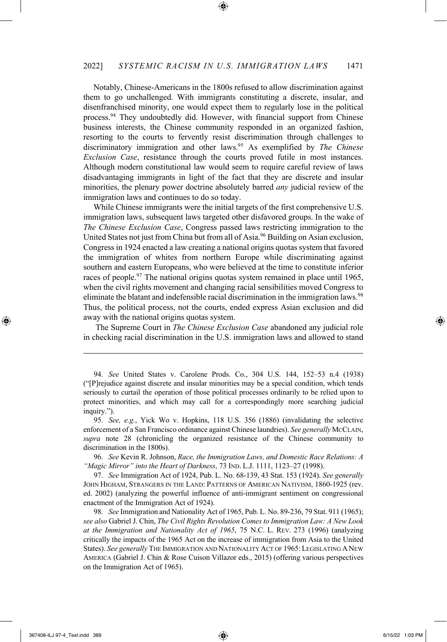Notably, Chinese-Americans in the 1800s refused to allow discrimination against them to go unchallenged. With immigrants constituting a discrete, insular, and disenfranchised minority, one would expect them to regularly lose in the political process.94 They undoubtedly did. However, with financial support from Chinese business interests, the Chinese community responded in an organized fashion, resorting to the courts to fervently resist discrimination through challenges to discriminatory immigration and other laws.95 As exemplified by *The Chinese Exclusion Case*, resistance through the courts proved futile in most instances. Although modern constitutional law would seem to require careful review of laws disadvantaging immigrants in light of the fact that they are discrete and insular minorities, the plenary power doctrine absolutely barred *any* judicial review of the immigration laws and continues to do so today.

While Chinese immigrants were the initial targets of the first comprehensive U.S. immigration laws, subsequent laws targeted other disfavored groups. In the wake of *The Chinese Exclusion Case*, Congress passed laws restricting immigration to the United States not just from China but from all of Asia.<sup>96</sup> Building on Asian exclusion, Congressin 1924 enacted a law creating a national origins quotas system that favored the immigration of whites from northern Europe while discriminating against southern and eastern Europeans, who were believed at the time to constitute inferior races of people.<sup>97</sup> The national origins quotas system remained in place until 1965, when the civil rights movement and changing racial sensibilities moved Congress to eliminate the blatant and indefensible racial discrimination in the immigration laws.<sup>98</sup> Thus, the political process, not the courts, ended express Asian exclusion and did away with the national origins quotas system.

The Supreme Court in *The Chinese Exclusion Case* abandoned any judicial role in checking racial discrimination in the U.S. immigration laws and allowed to stand

96. *See* Kevin R. Johnson, *Race, the Immigration Laws, and Domestic Race Relations: A "Magic Mirror" into the Heart of Darkness*, 73 IND. L.J. 1111, 1123–27 (1998).

97. *See* Immigration Act of 1924, Pub. L. No. 68-139, 43 Stat. 153 (1924). *See generally* JOHN HIGHAM, STRANGERS IN THE LAND: PATTERNS OF AMERICAN NATIVISM, 1860-1925 (rev. ed. 2002) (analyzing the powerful influence of anti-immigrant sentiment on congressional enactment of the Immigration Act of 1924).

98. *See* Immigration and Nationality Act of 1965, Pub. L. No. 89-236, 79 Stat. 911 (1965); *see also* Gabriel J. Chin, *The Civil Rights Revolution Comes to Immigration Law: A New Look at the Immigration and Nationality Act of 1965*, 75 N.C. L. REV. 273 (1996) (analyzing critically the impacts of the 1965 Act on the increase of immigration from Asia to the United States). *See generally* THE IMMIGRATION AND NATIONALITY ACT OF 1965: LEGISLATING A NEW AMERICA (Gabriel J. Chin & Rose Cuison Villazor eds., 2015) (offering various perspectives on the Immigration Act of 1965).

<sup>94.</sup> *See* United States v. Carolene Prods. Co., 304 U.S. 144, 152–53 n.4 (1938) ("[P]rejudice against discrete and insular minorities may be a special condition, which tends seriously to curtail the operation of those political processes ordinarily to be relied upon to protect minorities, and which may call for a correspondingly more searching judicial inquiry.").

<sup>95.</sup> *See, e.g.*, Yick Wo v. Hopkins, 118 U.S. 356 (1886) (invalidating the selective enforcement of a San Francisco ordinance against Chinese laundries). *See generally*MCCLAIN, *supra* note 28 (chronicling the organized resistance of the Chinese community to discrimination in the 1800s).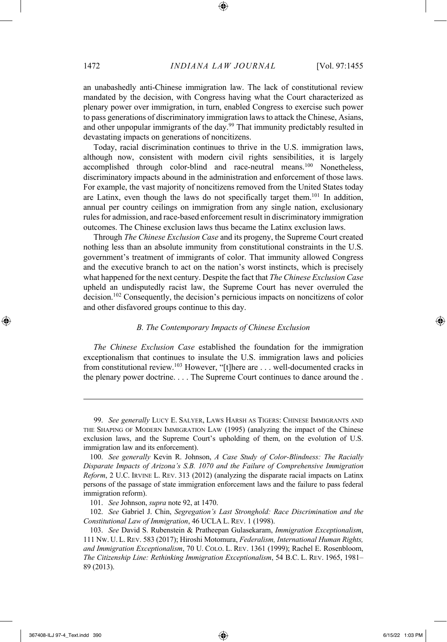an unabashedly anti-Chinese immigration law. The lack of constitutional review mandated by the decision, with Congress having what the Court characterized as plenary power over immigration, in turn, enabled Congress to exercise such power to pass generations of discriminatory immigration laws to attack the Chinese, Asians, and other unpopular immigrants of the day.<sup>99</sup> That immunity predictably resulted in devastating impacts on generations of noncitizens.

Today, racial discrimination continues to thrive in the U.S. immigration laws, although now, consistent with modern civil rights sensibilities, it is largely accomplished through color-blind and race-neutral means.100 Nonetheless, discriminatory impacts abound in the administration and enforcement of those laws. For example, the vast majority of noncitizens removed from the United States today are Latinx, even though the laws do not specifically target them.101 In addition, annual per country ceilings on immigration from any single nation, exclusionary rules for admission, and race-based enforcement result in discriminatory immigration outcomes. The Chinese exclusion laws thus became the Latinx exclusion laws.

Through *The Chinese Exclusion Case* and its progeny, the Supreme Court created nothing less than an absolute immunity from constitutional constraints in the U.S. government's treatment of immigrants of color. That immunity allowed Congress and the executive branch to act on the nation's worst instincts, which is precisely what happened for the next century. Despite the fact that *The Chinese Exclusion Case*  upheld an undisputedly racist law, the Supreme Court has never overruled the decision.102 Consequently, the decision's pernicious impacts on noncitizens of color and other disfavored groups continue to this day.

#### *B. The Contemporary Impacts of Chinese Exclusion*

*The Chinese Exclusion Case* established the foundation for the immigration exceptionalism that continues to insulate the U.S. immigration laws and policies from constitutional review.<sup>103</sup> However, "[t]here are . . . well-documented cracks in the plenary power doctrine. . . . The Supreme Court continues to dance around the .

102. *See* Gabriel J. Chin, *Segregation's Last Stronghold: Race Discrimination and the Constitutional Law of Immigration*, 46 UCLA L. REV. 1 (1998).

<sup>99.</sup> *See generally* LUCY E. SALYER, LAWS HARSH AS TIGERS: CHINESE IMMIGRANTS AND THE SHAPING OF MODERN IMMIGRATION LAW (1995) (analyzing the impact of the Chinese exclusion laws, and the Supreme Court's upholding of them, on the evolution of U.S. immigration law and its enforcement).

<sup>100.</sup> *See generally* Kevin R. Johnson, *A Case Study of Color-Blindness: The Racially Disparate Impacts of Arizona's S.B. 1070 and the Failure of Comprehensive Immigration Reform*, 2 U.C. IRVINE L. REV. 313 (2012) (analyzing the disparate racial impacts on Latinx persons of the passage of state immigration enforcement laws and the failure to pass federal immigration reform).

<sup>101.</sup> *See* Johnson, *supra* note 92, at 1470.

<sup>103.</sup> *See* David S. Rubenstein & Pratheepan Gulasekaram, *Immigration Exceptionalism*, 111 NW. U. L. REV. 583 (2017); Hiroshi Motomura, *Federalism, International Human Rights, and Immigration Exceptionalism*, 70 U. COLO. L. REV. 1361 (1999); Rachel E. Rosenbloom, *The Citizenship Line: Rethinking Immigration Exceptionalism*, 54 B.C. L. REV. 1965, 1981– 89 (2013).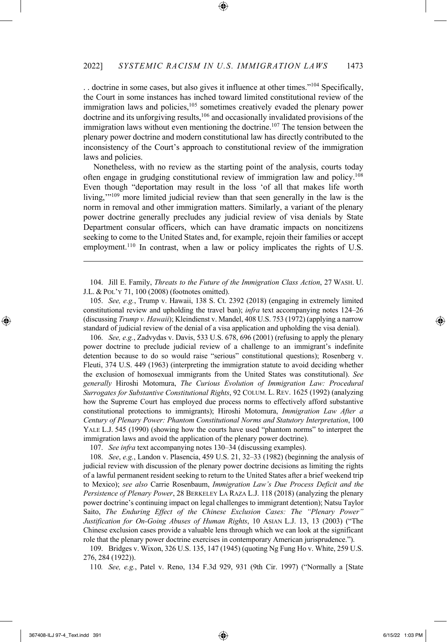. . doctrine in some cases, but also gives it influence at other times."104 Specifically, the Court in some instances has inched toward limited constitutional review of the immigration laws and policies,<sup>105</sup> sometimes creatively evaded the plenary power doctrine and its unforgiving results,106 and occasionally invalidated provisions of the immigration laws without even mentioning the doctrine.<sup>107</sup> The tension between the plenary power doctrine and modern constitutional law has directly contributed to the inconsistency of the Court's approach to constitutional review of the immigration laws and policies.

Nonetheless, with no review as the starting point of the analysis, courts today often engage in grudging constitutional review of immigration law and policy.108 Even though "deportation may result in the loss 'of all that makes life worth living,'"109 more limited judicial review than that seen generally in the law is the norm in removal and other immigration matters. Similarly, a variant of the plenary power doctrine generally precludes any judicial review of visa denials by State Department consular officers, which can have dramatic impacts on noncitizens seeking to come to the United States and, for example, rejoin their families or accept employment.<sup>110</sup> In contrast, when a law or policy implicates the rights of U.S.

104. Jill E. Family, *Threats to the Future of the Immigration Class Action*, 27 WASH. U. J.L. & POL'Y 71, 100 (2008) (footnotes omitted).

105. *See, e.g.*, Trump v. Hawaii, 138 S. Ct. 2392 (2018) (engaging in extremely limited constitutional review and upholding the travel ban); *infra* text accompanying notes 124–26 (discussing *Trump v. Hawaii*); Kleindienst v. Mandel, 408 U.S. 753 (1972) (applying a narrow standard of judicial review of the denial of a visa application and upholding the visa denial).

106. *See, e.g.*, Zadvydas v. Davis, 533 U.S. 678, 696 (2001) (refusing to apply the plenary power doctrine to preclude judicial review of a challenge to an immigrant's indefinite detention because to do so would raise "serious" constitutional questions); Rosenberg v. Fleuti, 374 U.S. 449 (1963) (interpreting the immigration statute to avoid deciding whether the exclusion of homosexual immigrants from the United States was constitutional). *See generally* Hiroshi Motomura, *The Curious Evolution of Immigration Law: Procedural Surrogates for Substantive Constitutional Rights*, 92 COLUM. L. REV. 1625 (1992) (analyzing how the Supreme Court has employed due process norms to effectively afford substantive constitutional protections to immigrants); Hiroshi Motomura, *Immigration Law After a Century of Plenary Power: Phantom Constitutional Norms and Statutory Interpretation*, 100 YALE L.J. 545 (1990) (showing how the courts have used "phantom norms" to interpret the immigration laws and avoid the application of the plenary power doctrine).

107. *See infra* text accompanying notes 130–34 (discussing examples).

108. *See*, *e.g.*, Landon v. Plasencia, 459 U.S. 21, 32–33 (1982) (beginning the analysis of judicial review with discussion of the plenary power doctrine decisions as limiting the rights of a lawful permanent resident seeking to return to the United States after a brief weekend trip to Mexico); *see also* Carrie Rosenbaum, *Immigration Law's Due Process Deficit and the Persistence of Plenary Power*, 28 BERKELEY LA RAZA L.J. 118 (2018) (analyzing the plenary power doctrine's continuing impact on legal challenges to immigrant detention); Natsu Taylor Saito, *The Enduring Effect of the Chinese Exclusion Cases: The "Plenary Power" Justification for On-Going Abuses of Human Rights*, 10 ASIAN L.J. 13, 13 (2003) ("The Chinese exclusion cases provide a valuable lens through which we can look at the significant role that the plenary power doctrine exercises in contemporary American jurisprudence.").

109. Bridges v. Wixon, 326 U.S. 135, 147 (1945) (quoting Ng Fung Ho v. White, 259 U.S. 276, 284 (1922)).

110*. See, e.g.*, Patel v. Reno, 134 F.3d 929, 931 (9th Cir. 1997) ("Normally a [State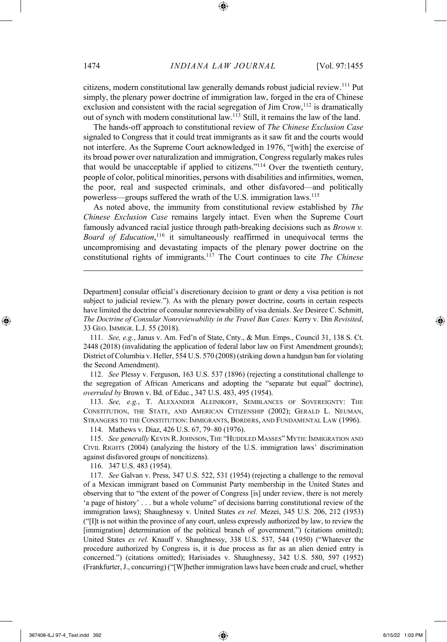citizens, modern constitutional law generally demands robust judicial review.111 Put simply, the plenary power doctrine of immigration law, forged in the era of Chinese exclusion and consistent with the racial segregation of Jim Crow,<sup>112</sup> is dramatically out of synch with modern constitutional law.113 Still, it remains the law of the land.

The hands-off approach to constitutional review of *The Chinese Exclusion Case*  signaled to Congress that it could treat immigrants as it saw fit and the courts would not interfere. As the Supreme Court acknowledged in 1976, "[with] the exercise of its broad power over naturalization and immigration, Congress regularly makes rules that would be unacceptable if applied to citizens."114 Over the twentieth century, people of color, political minorities, persons with disabilities and infirmities, women, the poor, real and suspected criminals, and other disfavored—and politically powerless—groups suffered the wrath of the U.S. immigration laws.115

As noted above, the immunity from constitutional review established by *The Chinese Exclusion Case* remains largely intact. Even when the Supreme Court famously advanced racial justice through path-breaking decisions such as *Brown v. Board of Education*, <sup>116</sup> it simultaneously reaffirmed in unequivocal terms the uncompromising and devastating impacts of the plenary power doctrine on the constitutional rights of immigrants.117 The Court continues to cite *The Chinese* 

Department] consular official's discretionary decision to grant or deny a visa petition is not subject to judicial review."). As with the plenary power doctrine, courts in certain respects have limited the doctrine of consular nonreviewability of visa denials. *See* Desiree C. Schmitt, *The Doctrine of Consular Nonreviewability in the Travel Ban Cases:* Kerry v. Din *Revisited*, 33 GEO. IMMIGR. L.J. 55 (2018).

111. *See, e.g.*, Janus v. Am. Fed'n of State, Cnty., & Mun. Emps., Council 31, 138 S. Ct. 2448 (2018) (invalidating the application of federal labor law on First Amendment grounds); District of Columbia v. Heller, 554 U.S. 570 (2008) (striking down a handgun ban for violating the Second Amendment).

112. *See* Plessy v. Ferguson, 163 U.S. 537 (1896) (rejecting a constitutional challenge to the segregation of African Americans and adopting the "separate but equal" doctrine), *overruled by* Brown v. Bd. of Educ., 347 U.S. 483, 495 (1954).

113. *See, e.g.*, T. ALEXANDER ALEINIKOFF, SEMBLANCES OF SOVEREIGNTY: THE CONSTITUTION, THE STATE, AND AMERICAN CITIZENSHIP (2002); GERALD L. NEUMAN, STRANGERS TO THE CONSTITUTION: IMMIGRANTS, BORDERS, AND FUNDAMENTAL LAW (1996).

114. Mathews v. Diaz, 426 U.S. 67, 79–80 (1976).

115. *See generally* KEVIN R.JOHNSON, THE "HUDDLED MASSES" MYTH: IMMIGRATION AND CIVIL RIGHTS (2004) (analyzing the history of the U.S. immigration laws' discrimination against disfavored groups of noncitizens).

116. 347 U.S. 483 (1954).

117. *See* Galvan v. Press, 347 U.S. 522, 531 (1954) (rejecting a challenge to the removal of a Mexican immigrant based on Communist Party membership in the United States and observing that to "the extent of the power of Congress [is] under review, there is not merely 'a page of history' . . . but a whole volume" of decisions barring constitutional review of the immigration laws); Shaughnessy v. United States *ex rel.* Mezei, 345 U.S. 206, 212 (1953) ("[I]t is not within the province of any court, unless expressly authorized by law, to review the [immigration] determination of the political branch of government.") (citations omitted); United States *ex rel.* Knauff v. Shaughnessy, 338 U.S. 537, 544 (1950) ("Whatever the procedure authorized by Congress is, it is due process as far as an alien denied entry is concerned.") (citations omitted); Harisiades v. Shaughnessy, 342 U.S. 580, 597 (1952) (Frankfurter, J., concurring) ("[W]hether immigration laws have been crude and cruel, whether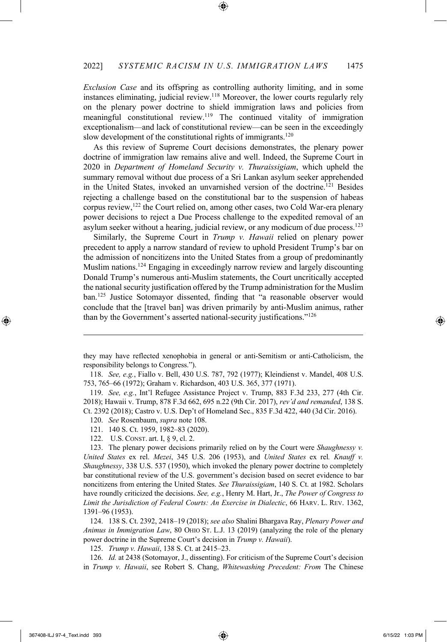*Exclusion Case* and its offspring as controlling authority limiting, and in some instances eliminating, judicial review. <sup>118</sup> Moreover, the lower courts regularly rely on the plenary power doctrine to shield immigration laws and policies from meaningful constitutional review.119 The continued vitality of immigration exceptionalism—and lack of constitutional review—can be seen in the exceedingly slow development of the constitutional rights of immigrants.<sup>120</sup>

As this review of Supreme Court decisions demonstrates, the plenary power doctrine of immigration law remains alive and well. Indeed, the Supreme Court in 2020 in *Department of Homeland Security v. Thuraissigiam*, which upheld the summary removal without due process of a Sri Lankan asylum seeker apprehended in the United States, invoked an unvarnished version of the doctrine.<sup>121</sup> Besides rejecting a challenge based on the constitutional bar to the suspension of habeas corpus review, <sup>122</sup> the Court relied on, among other cases, two Cold War-era plenary power decisions to reject a Due Process challenge to the expedited removal of an asylum seeker without a hearing, judicial review, or any modicum of due process.123

Similarly, the Supreme Court in *Trump v. Hawaii* relied on plenary power precedent to apply a narrow standard of review to uphold President Trump's bar on the admission of noncitizens into the United States from a group of predominantly Muslim nations.124 Engaging in exceedingly narrow review and largely discounting Donald Trump's numerous anti-Muslim statements, the Court uncritically accepted the national security justification offered by the Trump administration for the Muslim ban.125 Justice Sotomayor dissented, finding that "a reasonable observer would conclude that the [travel ban] was driven primarily by anti-Muslim animus, rather than by the Government's asserted national-security justifications."126

122. U.S. CONST. art. I, § 9, cl. 2.

123. The plenary power decisions primarily relied on by the Court were *Shaughnessy v. United States* ex rel. *Mezei*, 345 U.S. 206 (1953), and *United States* ex rel*. Knauff v. Shaughnessy*, 338 U.S. 537 (1950), which invoked the plenary power doctrine to completely bar constitutional review of the U.S. government's decision based on secret evidence to bar noncitizens from entering the United States. *See Thuraissigiam*, 140 S. Ct. at 1982. Scholars have roundly criticized the decisions. *See, e.g.*, Henry M. Hart, Jr., *The Power of Congress to Limit the Jurisdiction of Federal Courts: An Exercise in Dialectic*, 66 HARV. L. REV. 1362, 1391–96 (1953).

124. 138 S. Ct. 2392, 2418–19 (2018); *see also* Shalini Bhargava Ray, *Plenary Power and Animus in Immigration Law*, 80 OHIO ST. L.J. 13 (2019) (analyzing the role of the plenary power doctrine in the Supreme Court's decision in *Trump v. Hawaii*).

125. *Trump v. Hawaii*, 138 S. Ct. at 2415–23.

126. *Id.* at 2438 (Sotomayor, J., dissenting). For criticism of the Supreme Court's decision in *Trump v. Hawaii*, see Robert S. Chang, *Whitewashing Precedent: From* The Chinese

they may have reflected xenophobia in general or anti-Semitism or anti-Catholicism, the responsibility belongs to Congress.").

<sup>118.</sup> *See, e.g.*, Fiallo v. Bell, 430 U.S. 787, 792 (1977); Kleindienst v. Mandel, 408 U.S. 753, 765–66 (1972); Graham v. Richardson, 403 U.S. 365, 377 (1971).

<sup>119.</sup> *See, e.g.*, Int'l Refugee Assistance Project v. Trump, 883 F.3d 233, 277 (4th Cir. 2018); Hawaii v. Trump, 878 F.3d 662, 695 n.22 (9th Cir. 2017), *rev'd and remanded*, 138 S. Ct. 2392 (2018); Castro v. U.S. Dep't of Homeland Sec., 835 F.3d 422, 440 (3d Cir. 2016).

<sup>120.</sup> *See* Rosenbaum, *supra* note 108.

<sup>121.</sup> 140 S. Ct. 1959, 1982–83 (2020).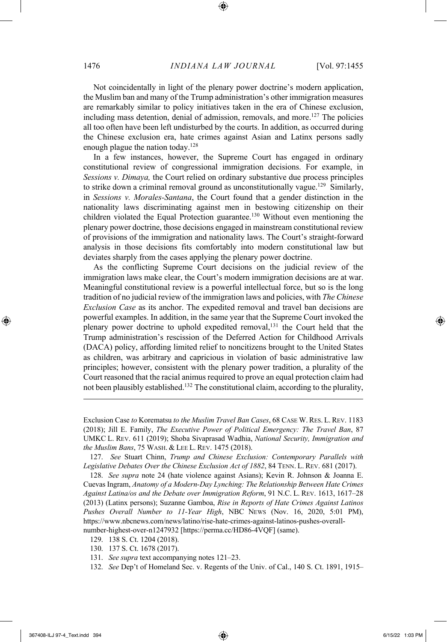Not coincidentally in light of the plenary power doctrine's modern application, the Muslim ban and many of the Trump administration's other immigration measures are remarkably similar to policy initiatives taken in the era of Chinese exclusion, including mass detention, denial of admission, removals, and more.<sup>127</sup> The policies all too often have been left undisturbed by the courts. In addition, as occurred during the Chinese exclusion era, hate crimes against Asian and Latinx persons sadly enough plague the nation today. $128$ 

In a few instances, however, the Supreme Court has engaged in ordinary constitutional review of congressional immigration decisions. For example, in *Sessions v. Dimaya,* the Court relied on ordinary substantive due process principles to strike down a criminal removal ground as unconstitutionally vague.<sup>129</sup> Similarly, in *Sessions v. Morales-Santana*, the Court found that a gender distinction in the nationality laws discriminating against men in bestowing citizenship on their children violated the Equal Protection guarantee. <sup>130</sup> Without even mentioning the plenary power doctrine, those decisions engaged in mainstream constitutional review of provisions of the immigration and nationality laws. The Court's straight-forward analysis in those decisions fits comfortably into modern constitutional law but deviates sharply from the cases applying the plenary power doctrine.

As the conflicting Supreme Court decisions on the judicial review of the immigration laws make clear, the Court's modern immigration decisions are at war. Meaningful constitutional review is a powerful intellectual force, but so is the long tradition of no judicial review of the immigration laws and policies, with *The Chinese Exclusion Case* as its anchor. The expedited removal and travel ban decisions are powerful examples. In addition, in the same year that the Supreme Court invoked the plenary power doctrine to uphold expedited removal,<sup>131</sup> the Court held that the Trump administration's rescission of the Deferred Action for Childhood Arrivals (DACA) policy, affording limited relief to noncitizens brought to the United States as children, was arbitrary and capricious in violation of basic administrative law principles; however, consistent with the plenary power tradition, a plurality of the Court reasoned that the racial animus required to prove an equal protection claim had not been plausibly established.132 The constitutional claim, according to the plurality,

128. *See supra* note 24 (hate violence against Asians); Kevin R. Johnson & Joanna E. Cuevas Ingram, *Anatomy of a Modern-Day Lynching: The Relationship Between Hate Crimes Against Latina/os and the Debate over Immigration Reform*, 91 N.C. L. REV. 1613, 1617–28 (2013) (Latinx persons); Suzanne Gamboa, *Rise in Reports of Hate Crimes Against Latinos Pushes Overall Number to 11-Year High*, NBC NEWS (Nov. 16, 2020, 5:01 PM), https://www.nbcnews.com/news/latino/rise-hate-crimes-against-latinos-pushes-overallnumber-highest-over-n1247932 [https://perma.cc/HD86-4VQF] (same).

Exclusion Case *to* Korematsu *to the Muslim Travel Ban Cases*, 68 CASE W. RES. L. REV. 1183 (2018); Jill E. Family, *The Executive Power of Political Emergency: The Travel Ban*, 87 UMKC L. REV. 611 (2019); Shoba Sivaprasad Wadhia, *National Security, Immigration and the Muslim Bans*, 75 WASH. & LEE L. REV. 1475 (2018).

<sup>127.</sup> *See* Stuart Chinn, *Trump and Chinese Exclusion: Contemporary Parallels with Legislative Debates Over the Chinese Exclusion Act of 1882*, 84 TENN. L. REV. 681 (2017).

<sup>129.</sup> 138 S. Ct. 1204 (2018).

<sup>130.</sup> 137 S. Ct. 1678 (2017).

<sup>131.</sup> *See supra* text accompanying notes 121–23.

<sup>132.</sup> *See* Dep't of Homeland Sec. v. Regents of the Univ. of Cal., 140 S. Ct. 1891, 1915–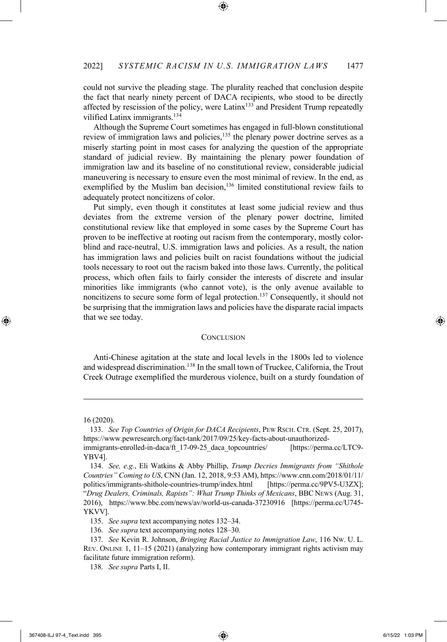could not survive the pleading stage. The plurality reached that conclusion despite the fact that nearly ninety percent of DACA recipients, who stood to be directly affected by rescission of the policy, were Latinx133 and President Trump repeatedly vilified Latinx immigrants.134

Although the Supreme Court sometimes has engaged in full-blown constitutional review of immigration laws and policies,<sup>135</sup> the plenary power doctrine serves as a miserly starting point in most cases for analyzing the question of the appropriate standard of judicial review. By maintaining the plenary power foundation of immigration law and its baseline of no constitutional review, considerable judicial maneuvering is necessary to ensure even the most minimal of review. In the end, as exemplified by the Muslim ban decision,<sup>136</sup> limited constitutional review fails to adequately protect noncitizens of color.

Put simply, even though it constitutes at least some judicial review and thus deviates from the extreme version of the plenary power doctrine, limited constitutional review like that employed in some cases by the Supreme Court has proven to be ineffective at rooting out racism from the contemporary, mostly colorblind and race-neutral, U.S. immigration laws and policies. As a result, the nation has immigration laws and policies built on racist foundations without the judicial tools necessary to root out the racism baked into those laws. Currently, the political process, which often fails to fairly consider the interests of discrete and insular minorities like immigrants (who cannot vote), is the only avenue available to noncitizens to secure some form of legal protection.<sup>137</sup> Consequently, it should not be surprising that the immigration laws and policies have the disparate racial impacts that we see today.

#### **CONCLUSION**

Anti-Chinese agitation at the state and local levels in the 1800s led to violence and widespread discrimination.<sup>138</sup> In the small town of Truckee, California, the Trout Creek Outrage exemplified the murderous violence, built on a sturdy foundation of

<sup>16 (2020).</sup>

<sup>133.</sup> *See Top Countries of Origin for DACA Recipients*, PEW RSCH. CTR. (Sept. 25, 2017), https://www.pewresearch.org/fact-tank/2017/09/25/key-facts-about-unauthorizedimmigrants-enrolled-in-daca/ft\_17-09-25\_daca\_topcountries/ [https://perma.cc/LTC9-

YBV4].

<sup>134.</sup> *See, e.g.*, Eli Watkins & Abby Phillip, *Trump Decries Immigrants from "Shithole Countries" Coming to US*, CNN (Jan. 12, 2018, 9:53 AM), https://www.cnn.com/2018/01/11/ politics/immigrants-shithole-countries-trump/index.html [https://perma.cc/9PV5-U3ZX]; "*Drug Dealers, Criminals, Rapists": What Trump Thinks of Mexicans*, BBC NEWS (Aug. 31, 2016), https://www.bbc.com/news/av/world-us-canada-37230916 [https://perma.cc/U745- YKVV].

<sup>135.</sup> *See supra* text accompanying notes 132–34.

<sup>136.</sup> *See supra* text accompanying notes 128–30.

<sup>137.</sup> *See* Kevin R. Johnson, *Bringing Racial Justice to Immigration Law*, 116 NW. U. L. REV. ONLINE 1, 11–15 (2021) (analyzing how contemporary immigrant rights activism may facilitate future immigration reform).

<sup>138.</sup> *See supra* Parts I, II.